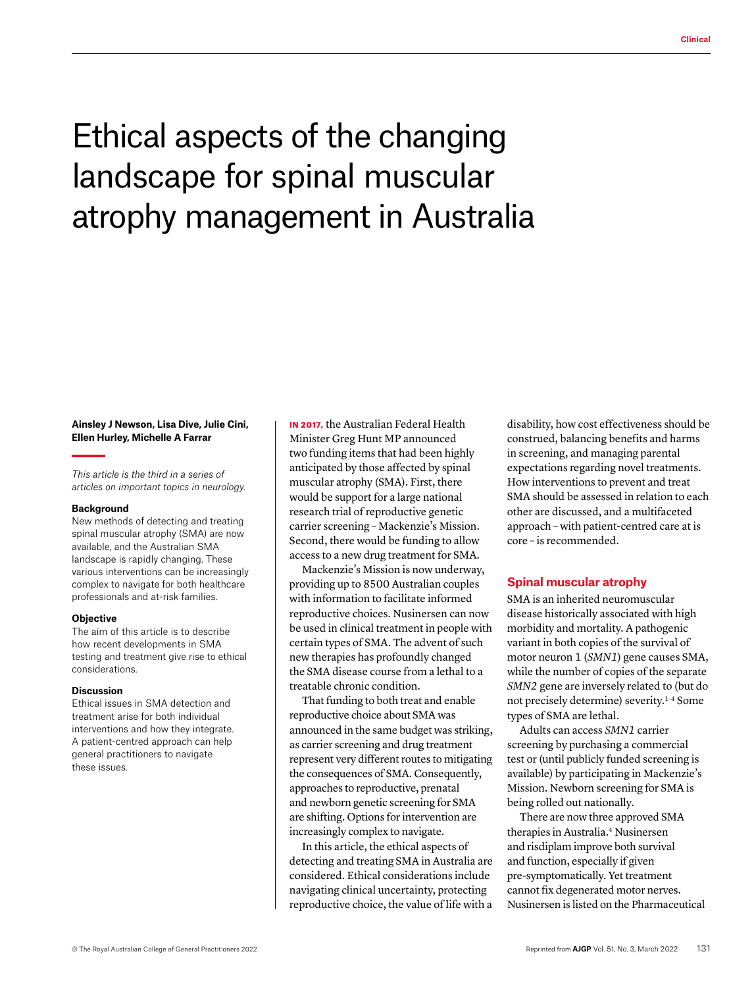# Ethical aspects of the changing landscape for spinal muscular atrophy management in Australia

# **Ainsley J Newson, Lisa Dive, Julie Cini, Ellen Hurley, Michelle A Farrar**

*This article is the third in a series of articles on important topics in neurology.* 

#### **Background**

New methods of detecting and treating spinal muscular atrophy (SMA) are now available, and the Australian SMA landscape is rapidly changing. These various interventions can be increasingly complex to navigate for both healthcare professionals and at-risk families.

#### **Objective**

The aim of this article is to describe how recent developments in SMA testing and treatment give rise to ethical considerations.

## **Discussion**

Ethical issues in SMA detection and treatment arise for both individual interventions and how they integrate. A patient-centred approach can help general practitioners to navigate these issues.

IN 2017, the Australian Federal Health Minister Greg Hunt MP announced two funding items that had been highly anticipated by those affected by spinal muscular atrophy (SMA). First, there would be support for a large national research trial of reproductive genetic carrier screening – Mackenzie's Mission. Second, there would be funding to allow access to a new drug treatment for SMA.

Mackenzie's Mission is now underway, providing up to 8500 Australian couples with information to facilitate informed reproductive choices. Nusinersen can now be used in clinical treatment in people with certain types of SMA. The advent of such new therapies has profoundly changed the SMA disease course from a lethal to a treatable chronic condition.

That funding to both treat and enable reproductive choice about SMA was announced in the same budget was striking, as carrier screening and drug treatment represent very different routes to mitigating the consequences of SMA. Consequently, approaches to reproductive, prenatal and newborn genetic screening for SMA are shifting. Options for intervention are increasingly complex to navigate.

In this article, the ethical aspects of detecting and treating SMA in Australia are considered. Ethical considerations include navigating clinical uncertainty, protecting reproductive choice, the value of life with a

disability, how cost effectiveness should be construed, balancing benefits and harms in screening, and managing parental expectations regarding novel treatments. How interventions to prevent and treat SMA should be assessed in relation to each other are discussed, and a multifaceted approach – with patient-centred care at is core – is recommended.

# **Spinal muscular atrophy**

SMA is an inherited neuromuscular disease historically associated with high morbidity and mortality. A pathogenic variant in both copies of the survival of motor neuron 1 (*SMN1*) gene causes SMA, while the number of copies of the separate *SMN2* gene are inversely related to (but do not precisely determine) severity[.1–4](https://www.zotero.org/google-docs/?stNSrA) Some types of SMA are lethal.

Adults can access *SMN1* carrier screening by purchasing a commercial test or (until publicly funded screening is available) by participating in Mackenzie's Mission. Newborn screening for SMA is being rolled out nationally.

There are now three approved SMA therapies in Australia.[4](https://www.zotero.org/google-docs/?RzBTsP) Nusinersen and risdiplam improve both survival and function, especially if given pre-symptomatically. Yet treatment cannot fix degenerated motor nerves. Nusinersen is listed on the Pharmaceutical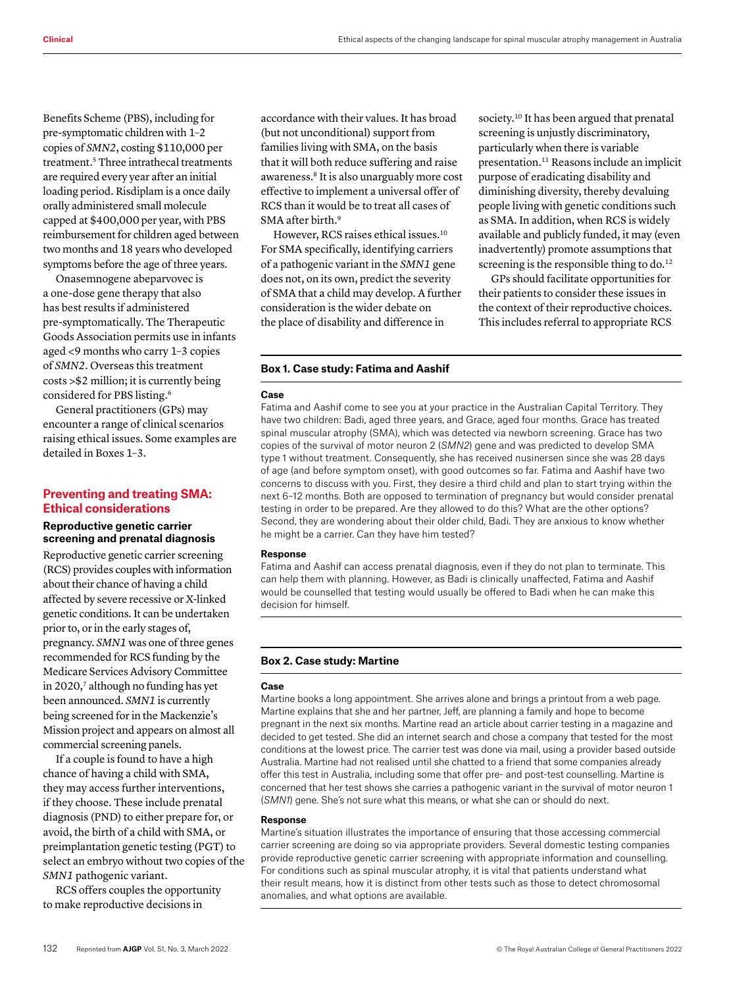Benefits Scheme (PBS), including for pre-symptomatic children with 1–2 copies of *SMN2*, costing \$110,000 per treatment[.5](https://www.zotero.org/google-docs/?f3eyXR) Three intrathecal treatments are required every year after an initial loading period. Risdiplam is a once daily orally administered small molecule capped at \$400,000 per year, with PBS reimbursement for children aged between two months and 18 years who developed symptoms before the age of three years.

Onasemnogene abeparvovec is a one-dose gene therapy that also has best results if administered pre-symptomatically. The Therapeutic Goods Association permits use in infants aged <9 months who carry 1–3 copies of *SMN2*. Overseas this treatment costs >\$2 million; it is currently being considered for PBS listing.6

General practitioners (GPs) may encounter a range of clinical scenarios raising ethical issues. Some examples are detailed in Boxes 1–3.

# **Preventing and treating SMA: Ethical considerations**

# **Reproductive genetic carrier screening and prenatal diagnosis**

Reproductive genetic carrier screening (RCS) provides couples with information about their chance of having a child affected by severe recessive or X-linked genetic conditions. It can be undertaken prior to, or in the early stages of, pregnancy. *SMN1* was one of three genes recommended for RCS funding by the Medicare Services Advisory Committee in 2020,7 although no funding has yet been announced. *SMN1* is currently being screened for in the Mackenzie's Mission project and appears on almost all commercial screening panels.

If a couple is found to have a high chance of having a child with SMA, they may access further interventions, if they choose. These include prenatal diagnosis (PND) to either prepare for, or avoid, the birth of a child with SMA, or preimplantation genetic testing (PGT) to select an embryo without two copies of the *SMN1* pathogenic variant.

RCS offers couples the opportunity to make reproductive decisions in

accordance with their values. It has broad (but not unconditional) support from families living with SMA, on the basis that it will both reduce suffering and raise awareness.8 It is also unarguably more cost effective to implement a universal offer of RCS than it would be to treat all cases of SMA after birth.<sup>9</sup>

However, RCS raises ethical issues.10 For SMA specifically, identifying carriers of a pathogenic variant in the *SMN1* gene does not, on its own, predict the severity of SMA that a child may develop. A further consideration is the wider debate on the place of disability and difference in

society.<sup>10</sup> It has been argued that prenatal screening is unjustly discriminatory, particularly when there is variable presentation.11 Reasons include an implicit purpose of eradicating disability and diminishing diversity, thereby devaluing people living with genetic conditions such as SMA. In addition, when RCS is widely available and publicly funded, it may (even inadvertently) promote assumptions that screening is the responsible thing to do.<sup>12</sup>

GPs should facilitate opportunities for their patients to consider these issues in the context of their reproductive choices. This includes referral to appropriate RCS

## **Box 1. Case study: Fatima and Aashif**

#### **Case**

Fatima and Aashif come to see you at your practice in the Australian Capital Territory. They have two children: Badi, aged three years, and Grace, aged four months. Grace has treated spinal muscular atrophy (SMA), which was detected via newborn screening. Grace has two copies of the survival of motor neuron 2 (*SMN2*) gene and was predicted to develop SMA type 1 without treatment. Consequently, she has received nusinersen since she was 28 days of age (and before symptom onset), with good outcomes so far. Fatima and Aashif have two concerns to discuss with you. First, they desire a third child and plan to start trying within the next 6–12 months. Both are opposed to termination of pregnancy but would consider prenatal testing in order to be prepared. Are they allowed to do this? What are the other options? Second, they are wondering about their older child, Badi. They are anxious to know whether he might be a carrier. Can they have him tested?

## **Response**

Fatima and Aashif can access prenatal diagnosis, even if they do not plan to terminate. This can help them with planning. However, as Badi is clinically unaffected, Fatima and Aashif would be counselled that testing would usually be offered to Badi when he can make this decision for himself.

# **Box 2. Case study: Martine**

#### **Case**

Martine books a long appointment. She arrives alone and brings a printout from a web page. Martine explains that she and her partner, Jeff, are planning a family and hope to become pregnant in the next six months. Martine read an article about carrier testing in a magazine and decided to get tested. She did an internet search and chose a company that tested for the most conditions at the lowest price. The carrier test was done via mail, using a provider based outside Australia. Martine had not realised until she chatted to a friend that some companies already offer this test in Australia, including some that offer pre- and post-test counselling. Martine is concerned that her test shows she carries a pathogenic variant in the survival of motor neuron 1 (*SMN1*) gene. She's not sure what this means, or what she can or should do next.

#### **Response**

Martine's situation illustrates the importance of ensuring that those accessing commercial carrier screening are doing so via appropriate providers. Several domestic testing companies provide reproductive genetic carrier screening with appropriate information and counselling. For conditions such as spinal muscular atrophy, it is vital that patients understand what their result means, how it is distinct from other tests such as those to detect chromosomal anomalies, and what options are available.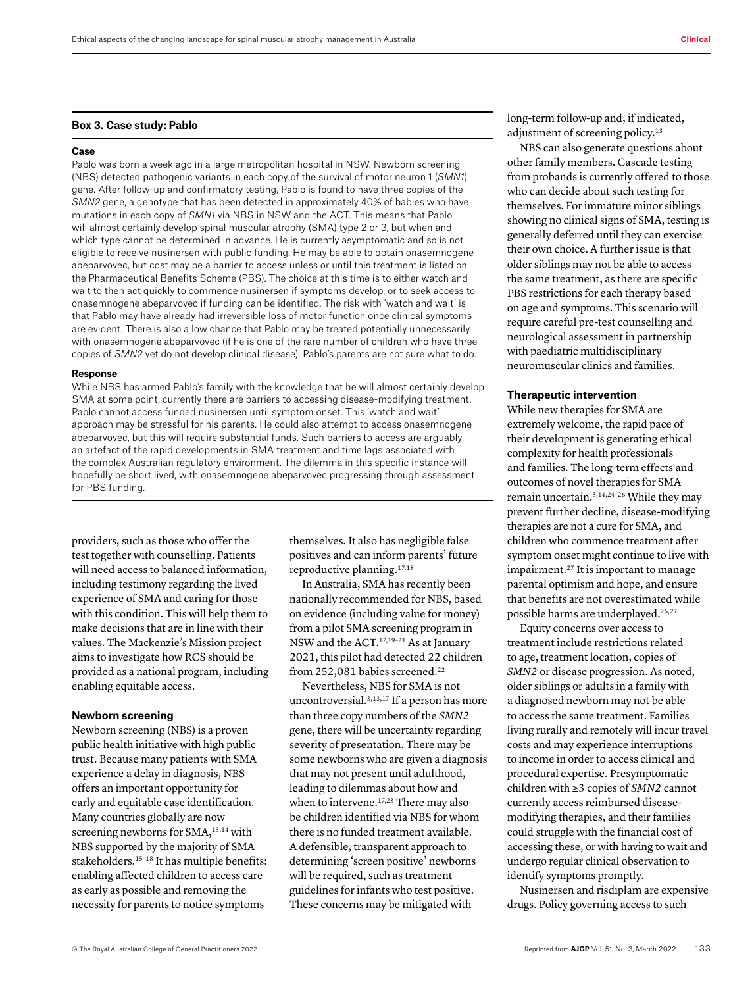#### **Box 3. Case study: Pablo**

#### **Case**

Pablo was born a week ago in a large metropolitan hospital in NSW. Newborn screening (NBS) detected pathogenic variants in each copy of the survival of motor neuron 1 (*SMN1*) gene. After follow-up and confirmatory testing, Pablo is found to have three copies of the *SMN2* gene, a genotype that has been detected in approximately 40% of babies who have mutations in each copy of *SMN1* via NBS in NSW and the ACT. This means that Pablo will almost certainly develop spinal muscular atrophy (SMA) type 2 or 3, but when and which type cannot be determined in advance. He is currently asymptomatic and so is not eligible to receive nusinersen with public funding. He may be able to obtain onasemnogene abeparvovec, but cost may be a barrier to access unless or until this treatment is listed on the Pharmaceutical Benefits Scheme (PBS). The choice at this time is to either watch and wait to then act quickly to commence nusinersen if symptoms develop, or to seek access to onasemnogene abeparvovec if funding can be identified. The risk with 'watch and wait' is that Pablo may have already had irreversible loss of motor function once clinical symptoms are evident. There is also a low chance that Pablo may be treated potentially unnecessarily with onasemnogene abeparvovec (if he is one of the rare number of children who have three copies of *SMN2* yet do not develop clinical disease). Pablo's parents are not sure what to do.

#### **Response**

While NBS has armed Pablo's family with the knowledge that he will almost certainly develop SMA at some point, currently there are barriers to accessing disease-modifying treatment. Pablo cannot access funded nusinersen until symptom onset. This 'watch and wait' approach may be stressful for his parents. He could also attempt to access onasemnogene abeparvovec, but this will require substantial funds. Such barriers to access are arguably an artefact of the rapid developments in SMA treatment and time lags associated with the complex Australian regulatory environment. The dilemma in this specific instance will hopefully be short lived, with onasemnogene abeparvovec progressing through assessment for PBS funding.

providers, such as those who offer the test together with counselling. Patients will need access to balanced information, including testimony regarding the lived experience of SMA and caring for those with this condition. This will help them to make decisions that are in line with their values. The Mackenzie's Mission project aims to investigate how RCS should be provided as a national program, including enabling equitable access.

## **Newborn screening**

Newborn screening (NBS) is a proven public health initiative with high public trust. Because many patients with SMA experience a delay in diagnosis, NBS offers an important opportunity for early and equitable case identification. Many countries globally are now screening newborns for SMA,<sup>13,14</sup> with NBS supported by the majority of SMA stakeholders.<sup>15-18</sup> It has multiple benefits: enabling affected children to access care as early as possible and removing the necessity for parents to notice symptoms

themselves. It also has negligible false positives and can inform parents' future reproductive planning.17,18

In Australia, SMA has recently been nationally recommended for NBS, based on evidence (including value for money) from a pilot SMA screening program in NSW and the ACT.17,19–21 As at January 2021, this pilot had detected 22 children from 252,081 babies screened.<sup>22</sup>

Nevertheless, NBS for SMA is not uncontroversial.3,13,17 If a person has more than three copy numbers of the *SMN2* gene, there will be uncertainty regarding severity of presentation. There may be some newborns who are given a diagnosis that may not present until adulthood, leading to dilemmas about how and when to intervene.<sup>17,23</sup> There may also be children identified via NBS for whom there is no funded treatment available. A defensible, transparent approach to determining 'screen positive' newborns will be required, such as treatment guidelines for infants who test positive. These concerns may be mitigated with

long-term follow-up and, if indicated, adjustment of screening policy.<sup>13</sup>

NBS can also generate questions about other family members. Cascade testing from probands is currently offered to those who can decide about such testing for themselves. For immature minor siblings showing no clinical signs of SMA, testing is generally deferred until they can exercise their own choice. A further issue is that older siblings may not be able to access the same treatment, as there are specific PBS restrictions for each therapy based on age and symptoms. This scenario will require careful pre-test counselling and neurological assessment in partnership with paediatric multidisciplinary neuromuscular clinics and families.

## **Therapeutic intervention**

While new therapies for SMA are extremely welcome, the rapid pace of their development is generating ethical complexity for health professionals and families. The long-term effects and outcomes of novel therapies for SMA remain uncertain.3,14,24–26 While they may prevent further decline, disease-modifying therapies are not a cure for SMA, and children who commence treatment after symptom onset might continue to live with impairment.[27](https://www.zotero.org/google-docs/?jYaUtH) It is important to manage parental optimism and hope, and ensure that benefits are not overestimated while possible harms are underplayed.<sup>26,27</sup>

Equity concerns over access to treatment include restrictions related to age, treatment location, copies of *SMN2* or disease progression. As noted, older siblings or adults in a family with a diagnosed newborn may not be able to access the same treatment. Families living rurally and remotely will incur travel costs and may experience interruptions to income in order to access clinical and procedural expertise. Presymptomatic children with ≥3 copies of *SMN2* cannot currently access reimbursed diseasemodifying therapies, and their families could struggle with the financial cost of accessing these, or with having to wait and undergo regular clinical observation to identify symptoms promptly.

Nusinersen and risdiplam are expensive drugs. Policy governing access to such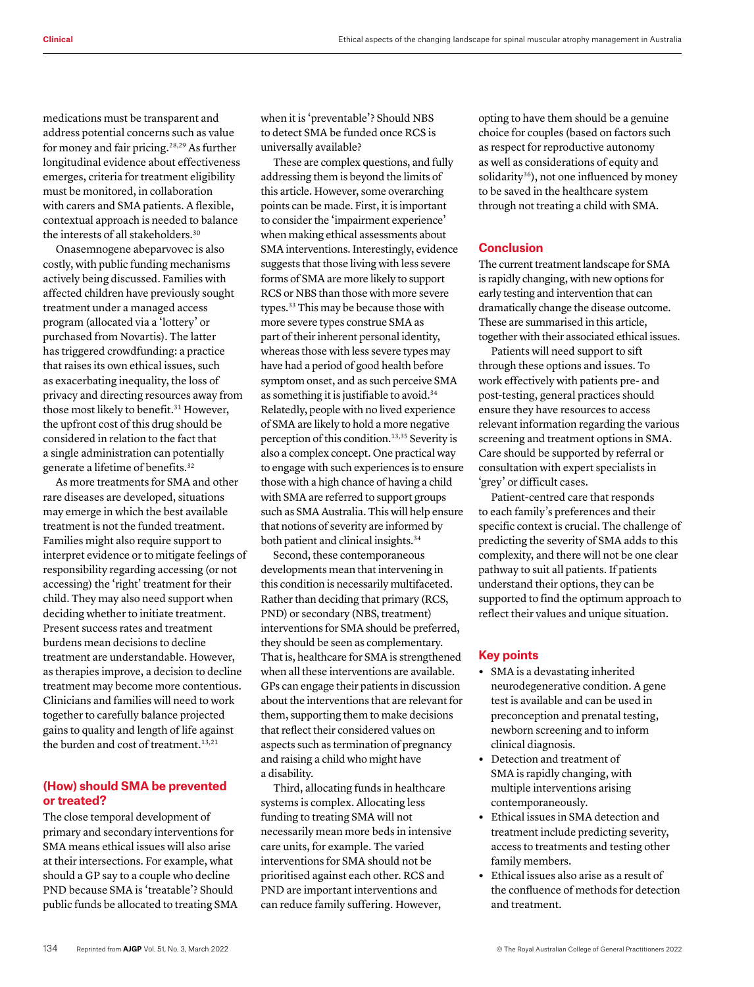medications must be transparent and address potential concerns such as value for money and fair pricing.[28,2](https://www.zotero.org/google-docs/?G2MLfe)9 As further longitudinal evidence about effectiveness emerges, criteria for treatment eligibility must be monitored, in collaboration with carers and SMA patients. A flexible, contextual approach is needed to balance the interests of all stakeholders.<sup>30</sup>

Onasemnogene abeparvovec is also costly, with public funding mechanisms actively being discussed. Families with affected children have previously sought treatment under a managed access program (allocated via a 'lottery' or purchased from Novartis). The latter has triggered crowdfunding: a practice that raises its own ethical issues, such as exacerbating inequality, the loss of privacy and directing resources away from those most likely to benefit.<sup>31</sup> However, the upfront cost of this drug should be considered in relation to the fact that a single administration can potentially generate a lifetime of benefits.32

As more treatments for SMA and other rare diseases are developed, situations may emerge in which the best available treatment is not the funded treatment. Families might also require support to interpret evidence or to mitigate feelings of responsibility regarding accessing (or not accessing) the 'right' treatment for their child. They may also need support when deciding whether to initiate treatment. Present success rates and treatment burdens mean decisions to decline treatment are understandable. However, as therapies improve, a decision to decline treatment may become more contentious. Clinicians and families will need to work together to carefully balance projected gains to quality and length of life against the burden and cost of treatment.13,21

# **(How) should SMA be prevented or treated?**

The close temporal development of primary and secondary interventions for SMA means ethical issues will also arise at their intersections. For example, what should a GP say to a couple who decline PND because SMA is 'treatable'? Should public funds be allocated to treating SMA when it is 'preventable'? Should NBS to detect SMA be funded once RCS is universally available?

These are complex questions, and fully addressing them is beyond the limits of this article. However, some overarching points can be made. First, it is important to consider the 'impairment experience' when making ethical assessments about SMA interventions. Interestingly, evidence suggests that those living with less severe forms of SMA are more likely to support RCS or NBS than those with more severe types.33 This may be because those with more severe types construe SMA as part of their inherent personal identity, whereas those with less severe types may have had a period of good health before symptom onset, and as such perceive SMA as something it is justifiable to avoid.<sup>[34](https://www.zotero.org/google-docs/?A7WTXj)</sup> Relatedly, people with no lived experience of SMA are likely to hold a more negative perception of this condition.13,35 Severity is also a complex concept. One practical way to engage with such experiences is to ensure those with a high chance of having a child with SMA are referred to support groups such as SMA Australia. This will help ensure that notions of severity are informed by both patient and clinical insights.<sup>34</sup>

Second, these contemporaneous developments mean that intervening in this condition is necessarily multifaceted. Rather than deciding that primary (RCS, PND) or secondary (NBS, treatment) interventions for SMA should be preferred, they should be seen as complementary. That is, healthcare for SMA is strengthened when all these interventions are available. GPs can engage their patients in discussion about the interventions that are relevant for them, supporting them to make decisions that reflect their considered values on aspects such as termination of pregnancy and raising a child who might have a disability.

Third, allocating funds in healthcare systems is complex. Allocating less funding to treating SMA will not necessarily mean more beds in intensive care units, for example. The varied interventions for SMA should not be prioritised against each other. RCS and PND are important interventions and can reduce family suffering. However,

opting to have them should be a genuine choice for couples (based on factors such as respect for reproductive autonomy as well as considerations of equity and solidarity<sup>36</sup>), not one influenced by money to be saved in the healthcare system through not treating a child with SMA.

# **Conclusion**

The current treatment landscape for SMA is rapidly changing, with new options for early testing and intervention that can dramatically change the disease outcome. These are summarised in this article, together with their associated ethical issues.

Patients will need support to sift through these options and issues. To work effectively with patients pre- and post-testing, general practices should ensure they have resources to access relevant information regarding the various screening and treatment options in SMA. Care should be supported by referral or consultation with expert specialists in 'grey' or difficult cases.

Patient-centred care that responds to each family's preferences and their specific context is crucial. The challenge of predicting the severity of SMA adds to this complexity, and there will not be one clear pathway to suit all patients. If patients understand their options, they can be supported to find the optimum approach to reflect their values and unique situation.

# **Key points**

- **•** SMA is a devastating inherited neurodegenerative condition. A gene test is available and can be used in preconception and prenatal testing, newborn screening and to inform clinical diagnosis.
- **•** Detection and treatment of SMA is rapidly changing, with multiple interventions arising contemporaneously.
- **•** Ethical issues in SMA detection and treatment include predicting severity, access to treatments and testing other family members.
- **•** Ethical issues also arise as a result of the confluence of methods for detection and treatment.